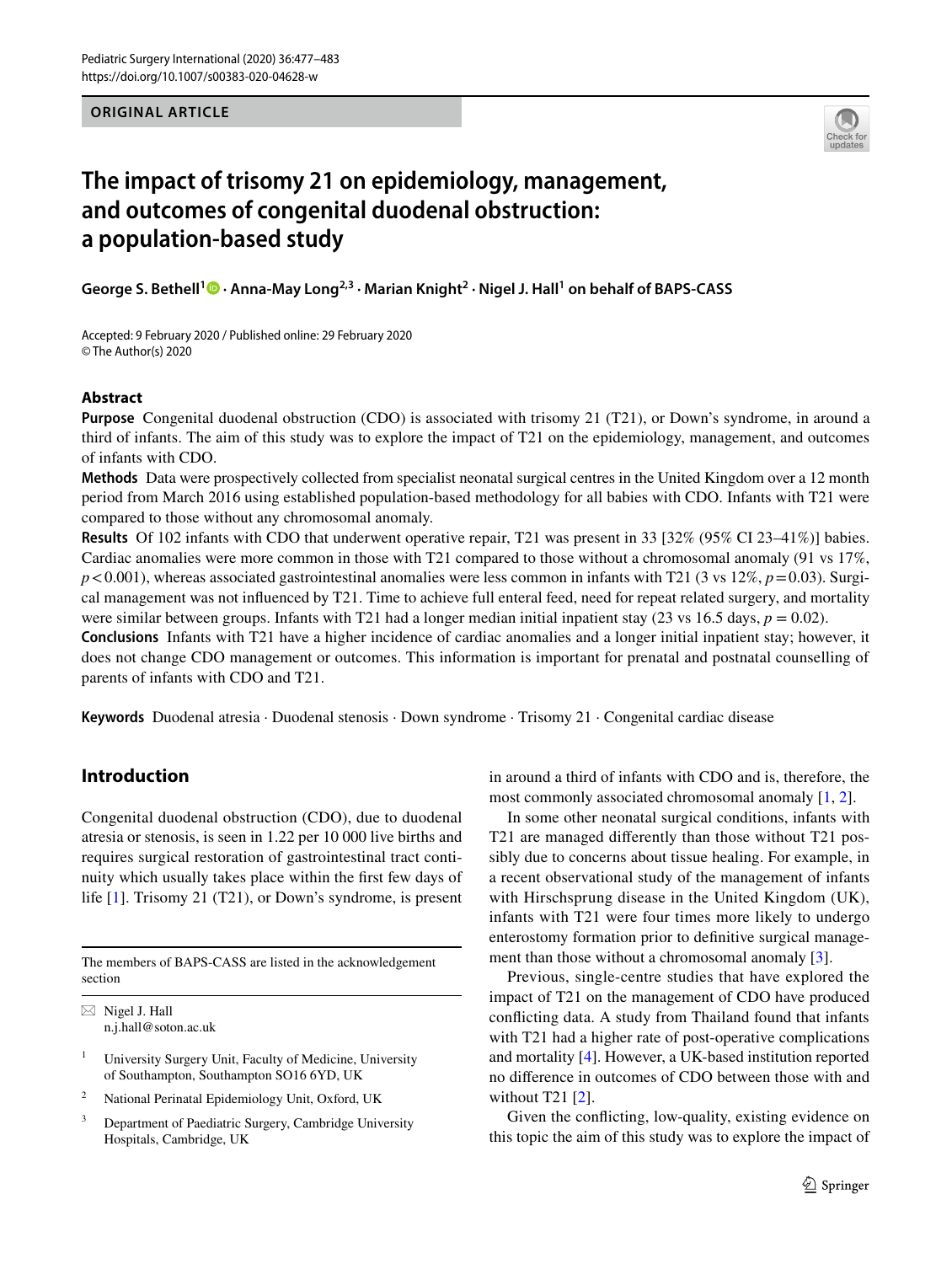**ORIGINAL ARTICLE**



# **The impact of trisomy 21 on epidemiology, management, and outcomes of congenital duodenal obstruction: a population‑based study**

**George S. Bethell1  [·](http://orcid.org/0000-0002-1302-0735) Anna‑May Long2,3 · Marian Knight2 · Nigel J. Hall1 on behalf of BAPS-CASS**

Accepted: 9 February 2020 / Published online: 29 February 2020 © The Author(s) 2020

#### **Abstract**

**Purpose** Congenital duodenal obstruction (CDO) is associated with trisomy 21 (T21), or Down's syndrome, in around a third of infants. The aim of this study was to explore the impact of T21 on the epidemiology, management, and outcomes of infants with CDO.

**Methods** Data were prospectively collected from specialist neonatal surgical centres in the United Kingdom over a 12 month period from March 2016 using established population-based methodology for all babies with CDO. Infants with T21 were compared to those without any chromosomal anomaly.

**Results** Of 102 infants with CDO that underwent operative repair, T21 was present in 33 [32% (95% CI 23–41%)] babies. Cardiac anomalies were more common in those with T21 compared to those without a chromosomal anomaly (91 vs 17%,  $p < 0.001$ ), whereas associated gastrointestinal anomalies were less common in infants with T21 (3 vs 12%,  $p = 0.03$ ). Surgical management was not infuenced by T21. Time to achieve full enteral feed, need for repeat related surgery, and mortality were similar between groups. Infants with T21 had a longer median initial inpatient stay (23 vs 16.5 days,  $p = 0.02$ ).

**Conclusions** Infants with T21 have a higher incidence of cardiac anomalies and a longer initial inpatient stay; however, it does not change CDO management or outcomes. This information is important for prenatal and postnatal counselling of parents of infants with CDO and T21.

**Keywords** Duodenal atresia · Duodenal stenosis · Down syndrome · Trisomy 21 · Congenital cardiac disease

# **Introduction**

Congenital duodenal obstruction (CDO), due to duodenal atresia or stenosis, is seen in 1.22 per 10 000 live births and requires surgical restoration of gastrointestinal tract continuity which usually takes place within the frst few days of life [\[1](#page-6-0)]. Trisomy 21 (T21), or Down's syndrome, is present

The members of BAPS-CASS are listed in the acknowledgement section

 $\boxtimes$  Nigel J. Hall n.j.hall@soton.ac.uk

<sup>1</sup> University Surgery Unit, Faculty of Medicine, University of Southampton, Southampton SO16 6YD, UK

- <sup>2</sup> National Perinatal Epidemiology Unit, Oxford, UK
- <sup>3</sup> Department of Paediatric Surgery, Cambridge University Hospitals, Cambridge, UK

in around a third of infants with CDO and is, therefore, the most commonly associated chromosomal anomaly [\[1](#page-6-0), [2](#page-6-1)].

In some other neonatal surgical conditions, infants with T21 are managed diferently than those without T21 possibly due to concerns about tissue healing. For example, in a recent observational study of the management of infants with Hirschsprung disease in the United Kingdom (UK), infants with T21 were four times more likely to undergo enterostomy formation prior to defnitive surgical manage-ment than those without a chromosomal anomaly [\[3\]](#page-6-2).

Previous, single-centre studies that have explored the impact of T21 on the management of CDO have produced conficting data. A study from Thailand found that infants with T21 had a higher rate of post-operative complications and mortality [\[4](#page-6-3)]. However, a UK-based institution reported no diference in outcomes of CDO between those with and without T21 [[2\]](#page-6-1).

Given the conficting, low-quality, existing evidence on this topic the aim of this study was to explore the impact of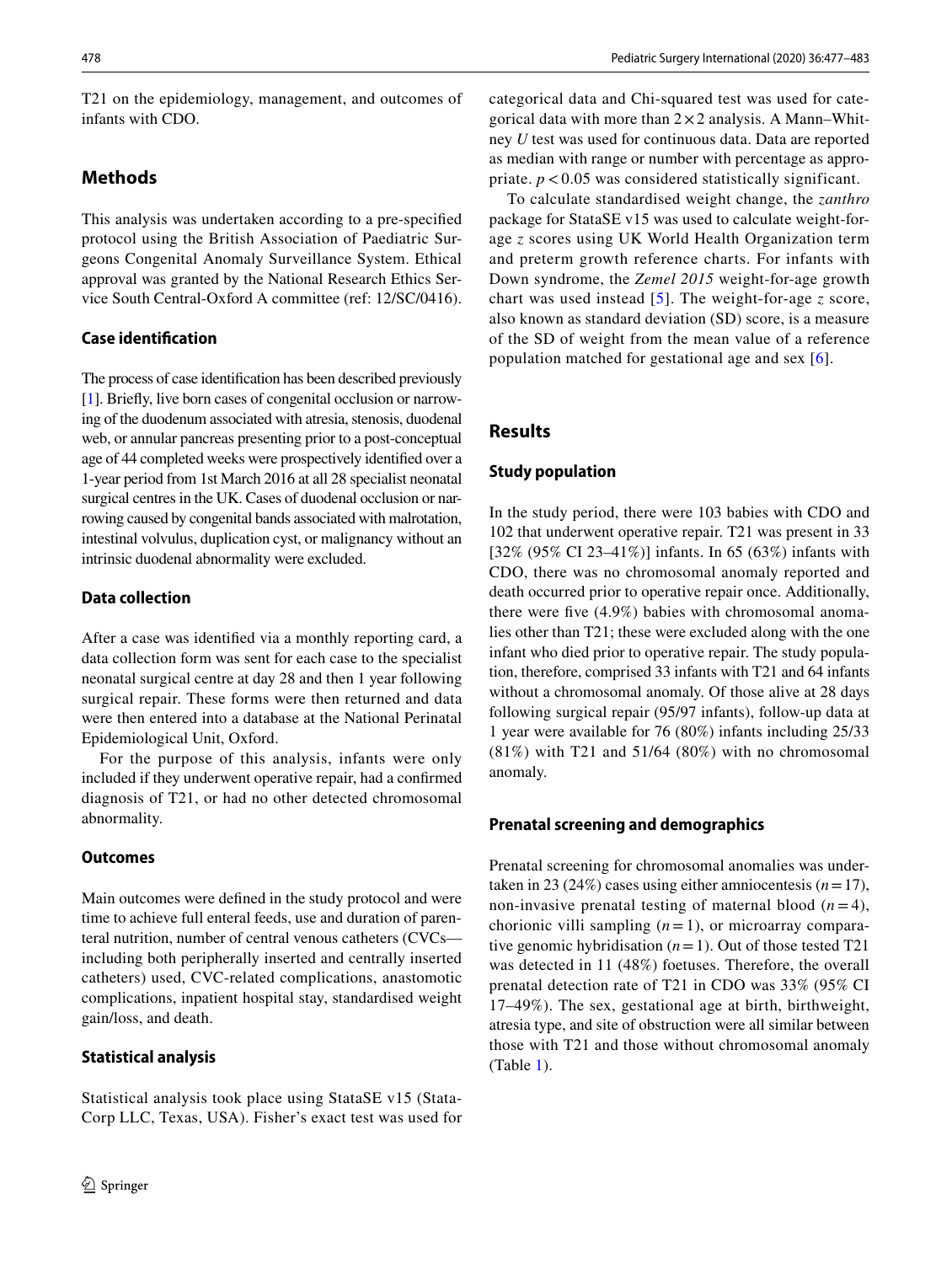T21 on the epidemiology, management, and outcomes of infants with CDO.

# **Methods**

This analysis was undertaken according to a pre-specifed protocol using the British Association of Paediatric Surgeons Congenital Anomaly Surveillance System. Ethical approval was granted by the National Research Ethics Service South Central-Oxford A committee (ref: 12/SC/0416).

### **Case identifcation**

The process of case identifcation has been described previously [\[1](#page-6-0)]. Briefy, live born cases of congenital occlusion or narrowing of the duodenum associated with atresia, stenosis, duodenal web, or annular pancreas presenting prior to a post-conceptual age of 44 completed weeks were prospectively identifed over a 1-year period from 1st March 2016 at all 28 specialist neonatal surgical centres in the UK. Cases of duodenal occlusion or narrowing caused by congenital bands associated with malrotation, intestinal volvulus, duplication cyst, or malignancy without an intrinsic duodenal abnormality were excluded.

## **Data collection**

After a case was identifed via a monthly reporting card, a data collection form was sent for each case to the specialist neonatal surgical centre at day 28 and then 1 year following surgical repair. These forms were then returned and data were then entered into a database at the National Perinatal Epidemiological Unit, Oxford.

For the purpose of this analysis, infants were only included if they underwent operative repair, had a confrmed diagnosis of T21, or had no other detected chromosomal abnormality.

### **Outcomes**

Main outcomes were defned in the study protocol and were time to achieve full enteral feeds, use and duration of parenteral nutrition, number of central venous catheters (CVCs including both peripherally inserted and centrally inserted catheters) used, CVC-related complications, anastomotic complications, inpatient hospital stay, standardised weight gain/loss, and death.

# **Statistical analysis**

Statistical analysis took place using StataSE v15 (Stata-Corp LLC, Texas, USA). Fisher's exact test was used for categorical data and Chi-squared test was used for categorical data with more than  $2 \times 2$  analysis. A Mann–Whitney *U* test was used for continuous data. Data are reported as median with range or number with percentage as appropriate. *p* < 0.05 was considered statistically significant.

To calculate standardised weight change, the *zanthro* package for StataSE v15 was used to calculate weight-forage *z* scores using UK World Health Organization term and preterm growth reference charts. For infants with Down syndrome, the *Zemel 2015* weight-for-age growth chart was used instead [[5\]](#page-6-4). The weight-for-age *z* score, also known as standard deviation (SD) score, is a measure of the SD of weight from the mean value of a reference population matched for gestational age and sex [\[6\]](#page-6-5).

# **Results**

## **Study population**

In the study period, there were 103 babies with CDO and 102 that underwent operative repair. T21 was present in 33 [32% (95% CI 23–41%)] infants. In 65 (63%) infants with CDO, there was no chromosomal anomaly reported and death occurred prior to operative repair once. Additionally, there were fve (4.9%) babies with chromosomal anomalies other than T21; these were excluded along with the one infant who died prior to operative repair. The study population, therefore, comprised 33 infants with T21 and 64 infants without a chromosomal anomaly. Of those alive at 28 days following surgical repair (95/97 infants), follow-up data at 1 year were available for 76 (80%) infants including 25/33  $(81\%)$  with T21 and 51/64  $(80\%)$  with no chromosomal anomaly.

### **Prenatal screening and demographics**

Prenatal screening for chromosomal anomalies was undertaken in 23 (24%) cases using either amniocentesis  $(n=17)$ , non-invasive prenatal testing of maternal blood  $(n=4)$ , chorionic villi sampling (*n*=1), or microarray comparative genomic hybridisation  $(n=1)$ . Out of those tested T21 was detected in 11 (48%) foetuses. Therefore, the overall prenatal detection rate of T21 in CDO was 33% (95% CI 17–49%). The sex, gestational age at birth, birthweight, atresia type, and site of obstruction were all similar between those with T21 and those without chromosomal anomaly (Table [1](#page-2-0)).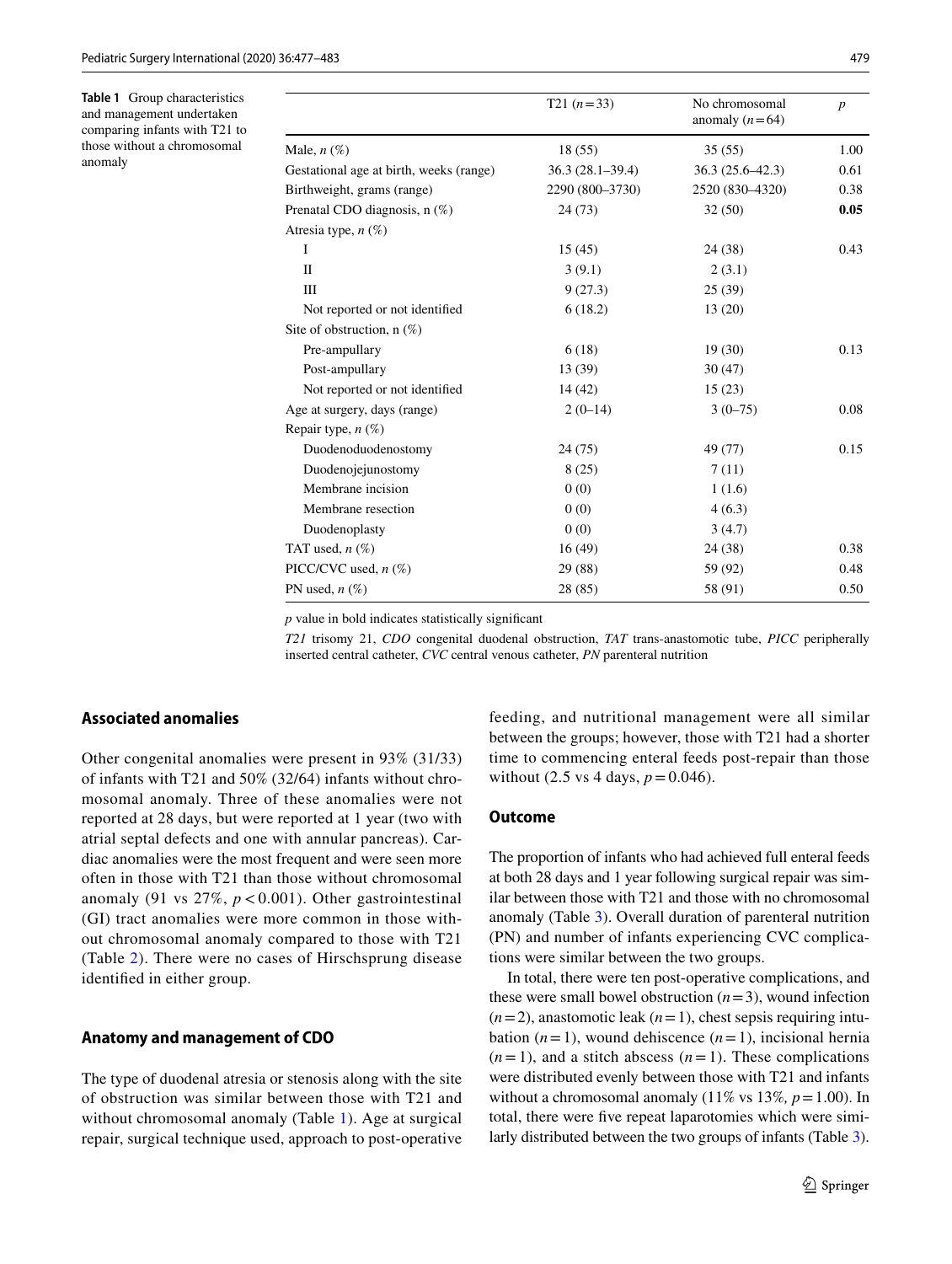<span id="page-2-0"></span>**Table 1** Group characteristics and management undertaken comparing infants with T21 to those without a chromosomal anomaly

|                                         | $T21 (n=33)$        | No chromosomal<br>anomaly $(n=64)$ | $\boldsymbol{p}$ |
|-----------------------------------------|---------------------|------------------------------------|------------------|
| Male, $n(\%)$                           | 18 (55)             | 35(55)                             | 1.00             |
| Gestational age at birth, weeks (range) | $36.3(28.1 - 39.4)$ | $36.3(25.6-42.3)$                  | 0.61             |
| Birthweight, grams (range)              | 2290 (800-3730)     | 2520 (830-4320)                    | 0.38             |
| Prenatal CDO diagnosis, n (%)           | 24(73)              | 32(50)                             | 0.05             |
| Atresia type, $n(\%)$                   |                     |                                    |                  |
| Ι                                       | 15(45)              | 24 (38)                            | 0.43             |
| П                                       | 3(9.1)              | 2(3.1)                             |                  |
| Ш                                       | 9(27.3)             | 25(39)                             |                  |
| Not reported or not identified          | 6(18.2)             | 13(20)                             |                  |
| Site of obstruction, $n(\%)$            |                     |                                    |                  |
| Pre-ampullary                           | 6(18)               | 19(30)                             | 0.13             |
| Post-ampullary                          | 13 (39)             | 30(47)                             |                  |
| Not reported or not identified          | 14 (42)             | 15(23)                             |                  |
| Age at surgery, days (range)            | $2(0-14)$           | $3(0-75)$                          | 0.08             |
| Repair type, $n(\%)$                    |                     |                                    |                  |
| Duodenoduodenostomy                     | 24(75)              | 49 (77)                            | 0.15             |
| Duodenojejunostomy                      | 8(25)               | 7(11)                              |                  |
| Membrane incision                       | 0(0)                | 1(1.6)                             |                  |
| Membrane resection                      | 0(0)                | 4(6.3)                             |                  |
| Duodenoplasty                           | 0(0)                | 3(4.7)                             |                  |
| TAT used, $n$ $(\%)$                    | 16(49)              | 24 (38)                            | 0.38             |
| PICC/CVC used, $n$ (%)                  | 29 (88)             | 59 (92)                            | 0.48             |
| PN used, $n$ $(\%)$                     | 28 (85)             | 58 (91)                            | 0.50             |

*p* value in bold indicates statistically signifcant

*T21* trisomy 21, *CDO* congenital duodenal obstruction, *TAT* trans-anastomotic tube, *PICC* peripherally inserted central catheter, *CVC* central venous catheter, *PN* parenteral nutrition

#### **Associated anomalies**

Other congenital anomalies were present in 93% (31/33) of infants with T21 and 50% (32/64) infants without chromosomal anomaly. Three of these anomalies were not reported at 28 days, but were reported at 1 year (two with atrial septal defects and one with annular pancreas). Cardiac anomalies were the most frequent and were seen more often in those with T21 than those without chromosomal anomaly (91 vs  $27\%$ ,  $p < 0.001$ ). Other gastrointestinal (GI) tract anomalies were more common in those without chromosomal anomaly compared to those with T21 (Table [2\)](#page-3-0). There were no cases of Hirschsprung disease identifed in either group.

#### **Anatomy and management of CDO**

The type of duodenal atresia or stenosis along with the site of obstruction was similar between those with T21 and without chromosomal anomaly (Table [1\)](#page-2-0). Age at surgical repair, surgical technique used, approach to post-operative feeding, and nutritional management were all similar between the groups; however, those with T21 had a shorter time to commencing enteral feeds post-repair than those without (2.5 vs 4 days,  $p = 0.046$ ).

#### **Outcome**

The proportion of infants who had achieved full enteral feeds at both 28 days and 1 year following surgical repair was similar between those with T21 and those with no chromosomal anomaly (Table [3](#page-4-0)). Overall duration of parenteral nutrition (PN) and number of infants experiencing CVC complications were similar between the two groups.

In total, there were ten post-operative complications, and these were small bowel obstruction  $(n=3)$ , wound infection  $(n=2)$ , anastomotic leak  $(n=1)$ , chest sepsis requiring intubation  $(n=1)$ , wound dehiscence  $(n=1)$ , incisional hernia  $(n=1)$ , and a stitch abscess  $(n=1)$ . These complications were distributed evenly between those with T21 and infants without a chromosomal anomaly (11% vs 13%,  $p = 1.00$ ). In total, there were fve repeat laparotomies which were similarly distributed between the two groups of infants (Table [3](#page-4-0)).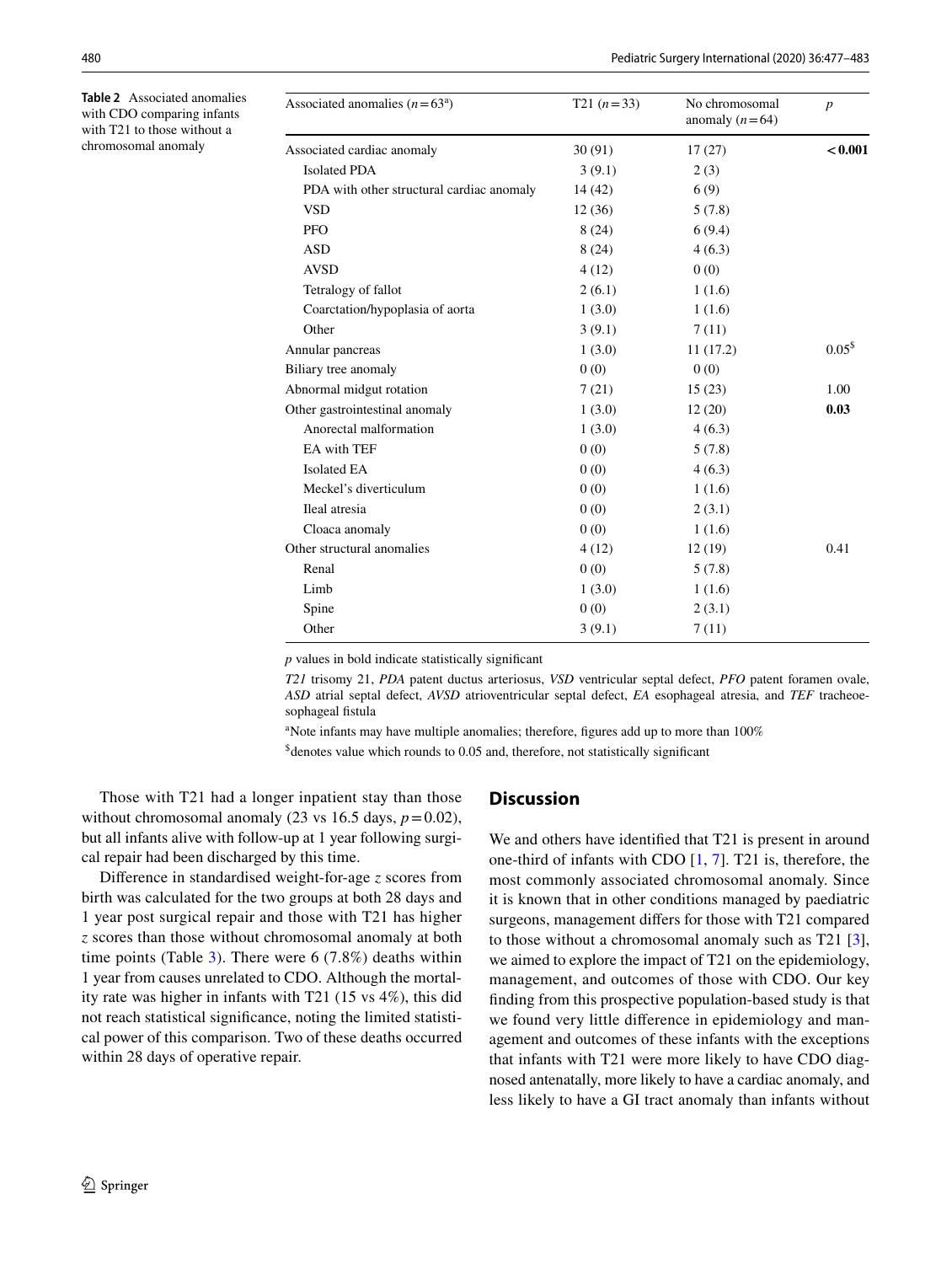<span id="page-3-0"></span>**Table 2** Associated anomalies with CDO comparing infants with T21 to those without a chromosomal anomaly

| Associated anomalies $(n=63^a)$           | $T21 (n=33)$ | No chromosomal<br>anomaly $(n=64)$ | $\boldsymbol{p}$  |
|-------------------------------------------|--------------|------------------------------------|-------------------|
| Associated cardiac anomaly                | 30(91)       | 17(27)                             | < 0.001           |
| <b>Isolated PDA</b>                       | 3(9.1)       | 2(3)                               |                   |
| PDA with other structural cardiac anomaly | 14 (42)      | 6(9)                               |                   |
| <b>VSD</b>                                | 12(36)       | 5(7.8)                             |                   |
| <b>PFO</b>                                | 8(24)        | 6(9.4)                             |                   |
| <b>ASD</b>                                | 8(24)        | 4(6.3)                             |                   |
| <b>AVSD</b>                               | 4(12)        | 0(0)                               |                   |
| Tetralogy of fallot                       | 2(6.1)       | 1(1.6)                             |                   |
| Coarctation/hypoplasia of aorta           | 1(3.0)       | 1(1.6)                             |                   |
| Other                                     | 3(9.1)       | 7(11)                              |                   |
| Annular pancreas                          | 1(3.0)       | 11(17.2)                           | 0.05 <sup>5</sup> |
| Biliary tree anomaly                      | 0(0)         | 0(0)                               |                   |
| Abnormal midgut rotation                  | 7(21)        | 15(23)                             | 1.00              |
| Other gastrointestinal anomaly            | 1(3.0)       | 12(20)                             | 0.03              |
| Anorectal malformation                    | 1(3.0)       | 4(6.3)                             |                   |
| EA with TEF                               | 0(0)         | 5(7.8)                             |                   |
| <b>Isolated EA</b>                        | 0(0)         | 4(6.3)                             |                   |
| Meckel's diverticulum                     | 0(0)         | 1(1.6)                             |                   |
| Ileal atresia                             | 0(0)         | 2(3.1)                             |                   |
| Cloaca anomaly                            | 0(0)         | 1(1.6)                             |                   |
| Other structural anomalies                | 4(12)        | 12(19)                             | 0.41              |
| Renal                                     | 0(0)         | 5(7.8)                             |                   |
| Limb                                      | 1(3.0)       | 1(1.6)                             |                   |
| Spine                                     | 0(0)         | 2(3.1)                             |                   |
| Other                                     | 3(9.1)       | 7(11)                              |                   |

*p* values in bold indicate statistically signifcant

*T21* trisomy 21, *PDA* patent ductus arteriosus, *VSD* ventricular septal defect, *PFO* patent foramen ovale, *ASD* atrial septal defect, *AVSD* atrioventricular septal defect, *EA* esophageal atresia, and *TEF* tracheoesophageal fistula

<sup>a</sup>Note infants may have multiple anomalies; therefore, figures add up to more than 100%

\$ denotes value which rounds to 0.05 and, therefore, not statistically signifcant

Those with T21 had a longer inpatient stay than those without chromosomal anomaly (23 vs 16.5 days,  $p = 0.02$ ), but all infants alive with follow-up at 1 year following surgical repair had been discharged by this time.

Diference in standardised weight-for-age *z* scores from birth was calculated for the two groups at both 28 days and 1 year post surgical repair and those with T21 has higher *z* scores than those without chromosomal anomaly at both time points (Table [3\)](#page-4-0). There were  $6(7.8%)$  deaths within 1 year from causes unrelated to CDO. Although the mortality rate was higher in infants with T21 (15 vs 4%), this did not reach statistical signifcance, noting the limited statistical power of this comparison. Two of these deaths occurred within 28 days of operative repair.

#### **Discussion**

We and others have identifed that T21 is present in around one-third of infants with CDO [\[1](#page-6-0), [7\]](#page-6-6). T21 is, therefore, the most commonly associated chromosomal anomaly. Since it is known that in other conditions managed by paediatric surgeons, management difers for those with T21 compared to those without a chromosomal anomaly such as T21 [\[3](#page-6-2)], we aimed to explore the impact of T21 on the epidemiology, management, and outcomes of those with CDO. Our key fnding from this prospective population-based study is that we found very little diference in epidemiology and management and outcomes of these infants with the exceptions that infants with T21 were more likely to have CDO diagnosed antenatally, more likely to have a cardiac anomaly, and less likely to have a GI tract anomaly than infants without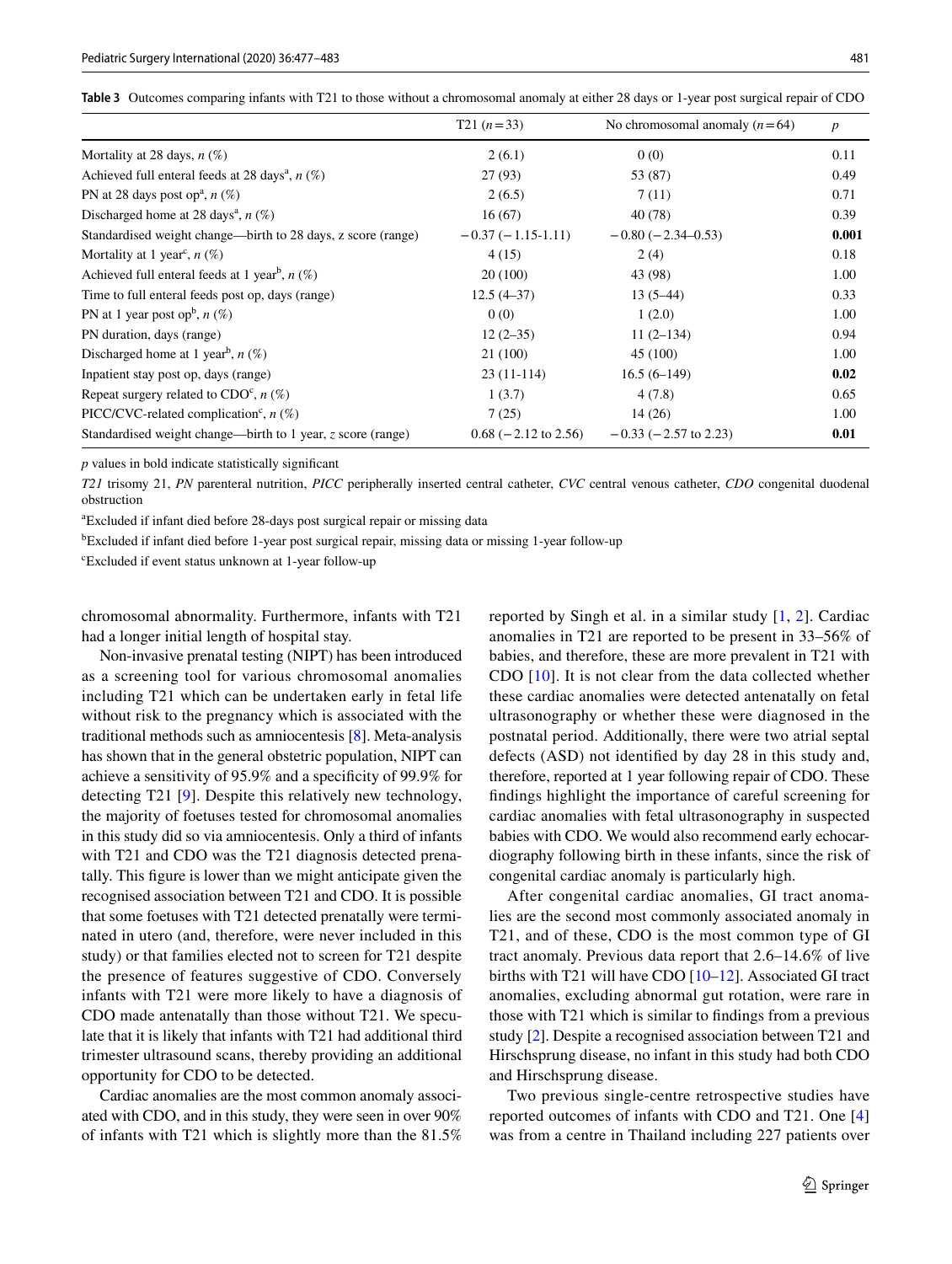<span id="page-4-0"></span>

|  | Table 3 Outcomes comparing infants with T21 to those without a chromosomal anomaly at either 28 days or 1-year post surgical repair of CDO |  |  |  |
|--|--------------------------------------------------------------------------------------------------------------------------------------------|--|--|--|
|--|--------------------------------------------------------------------------------------------------------------------------------------------|--|--|--|

|                                                               | $T21(n=33)$               | No chromosomal anomaly $(n=64)$ | $\boldsymbol{p}$ |
|---------------------------------------------------------------|---------------------------|---------------------------------|------------------|
| Mortality at 28 days, $n$ (%)                                 | 2(6.1)                    | 0(0)                            | 0.11             |
| Achieved full enteral feeds at 28 days <sup>a</sup> , $n$ (%) | 27(93)                    | 53 (87)                         | 0.49             |
| PN at 28 days post op <sup>a</sup> , $n$ (%)                  | 2(6.5)                    | 7(11)                           | 0.71             |
| Discharged home at 28 days <sup>a</sup> , $n$ (%)             | 16(67)                    | 40 (78)                         | 0.39             |
| Standardised weight change—birth to 28 days, z score (range)  | $-0.37(-1.15-1.11)$       | $-0.80$ ( $-2.34-0.53$ )        | 0.001            |
| Mortality at 1 year <sup>c</sup> , $n$ (%)                    | 4(15)                     | 2(4)                            | 0.18             |
| Achieved full enteral feeds at 1 year <sup>b</sup> , $n$ (%)  | 20(100)                   | 43 (98)                         | 1.00             |
| Time to full enteral feeds post op, days (range)              | $12.5(4-37)$              | $13(5-44)$                      | 0.33             |
| PN at 1 year post op <sup>b</sup> , $n$ (%)                   | 0(0)                      | 1(2.0)                          | 1.00             |
| PN duration, days (range)                                     | $12(2-35)$                | $11(2-134)$                     | 0.94             |
| Discharged home at 1 year <sup>b</sup> , $n$ (%)              | 21 (100)                  | 45 (100)                        | 1.00             |
| Inpatient stay post op, days (range)                          | $23(11-114)$              | $16.5(6-149)$                   | 0.02             |
| Repeat surgery related to $CDOc$ , $n$ (%)                    | 1(3.7)                    | 4(7.8)                          | 0.65             |
| PICC/CVC-related complication <sup>c</sup> , $n$ (%)          | 7(25)                     | 14(26)                          | 1.00             |
| Standardised weight change—birth to 1 year, z score (range)   | $0.68$ ( $-2.12$ to 2.56) | $-0.33$ ( $-2.57$ to 2.23)      | 0.01             |

*p* values in bold indicate statistically signifcant

*T21* trisomy 21, *PN* parenteral nutrition, *PICC* peripherally inserted central catheter, *CVC* central venous catheter, *CDO* congenital duodenal obstruction

a Excluded if infant died before 28-days post surgical repair or missing data

<sup>b</sup>Excluded if infant died before 1-year post surgical repair, missing data or missing 1-year follow-up

c Excluded if event status unknown at 1-year follow-up

chromosomal abnormality. Furthermore, infants with T21 had a longer initial length of hospital stay.

Non-invasive prenatal testing (NIPT) has been introduced as a screening tool for various chromosomal anomalies including T21 which can be undertaken early in fetal life without risk to the pregnancy which is associated with the traditional methods such as amniocentesis [\[8](#page-6-7)]. Meta-analysis has shown that in the general obstetric population, NIPT can achieve a sensitivity of 95.9% and a specifcity of 99.9% for detecting T21 [\[9](#page-6-8)]. Despite this relatively new technology, the majority of foetuses tested for chromosomal anomalies in this study did so via amniocentesis. Only a third of infants with T21 and CDO was the T21 diagnosis detected prenatally. This fgure is lower than we might anticipate given the recognised association between T21 and CDO. It is possible that some foetuses with T21 detected prenatally were terminated in utero (and, therefore, were never included in this study) or that families elected not to screen for T21 despite the presence of features suggestive of CDO. Conversely infants with T21 were more likely to have a diagnosis of CDO made antenatally than those without T21. We speculate that it is likely that infants with T21 had additional third trimester ultrasound scans, thereby providing an additional opportunity for CDO to be detected.

Cardiac anomalies are the most common anomaly associated with CDO, and in this study, they were seen in over 90% of infants with T21 which is slightly more than the 81.5% reported by Singh et al. in a similar study [\[1](#page-6-0), [2](#page-6-1)]. Cardiac anomalies in T21 are reported to be present in 33–56% of babies, and therefore, these are more prevalent in T21 with CDO [[10](#page-6-9)]. It is not clear from the data collected whether these cardiac anomalies were detected antenatally on fetal ultrasonography or whether these were diagnosed in the postnatal period. Additionally, there were two atrial septal defects (ASD) not identifed by day 28 in this study and, therefore, reported at 1 year following repair of CDO. These fndings highlight the importance of careful screening for cardiac anomalies with fetal ultrasonography in suspected babies with CDO. We would also recommend early echocardiography following birth in these infants, since the risk of congenital cardiac anomaly is particularly high.

After congenital cardiac anomalies, GI tract anomalies are the second most commonly associated anomaly in T21, and of these, CDO is the most common type of GI tract anomaly. Previous data report that 2.6–14.6% of live births with T21 will have CDO [[10–](#page-6-9)[12\]](#page-6-10). Associated GI tract anomalies, excluding abnormal gut rotation, were rare in those with T21 which is similar to fndings from a previous study [\[2](#page-6-1)]. Despite a recognised association between T21 and Hirschsprung disease, no infant in this study had both CDO and Hirschsprung disease.

Two previous single-centre retrospective studies have reported outcomes of infants with CDO and T21. One [[4\]](#page-6-3) was from a centre in Thailand including 227 patients over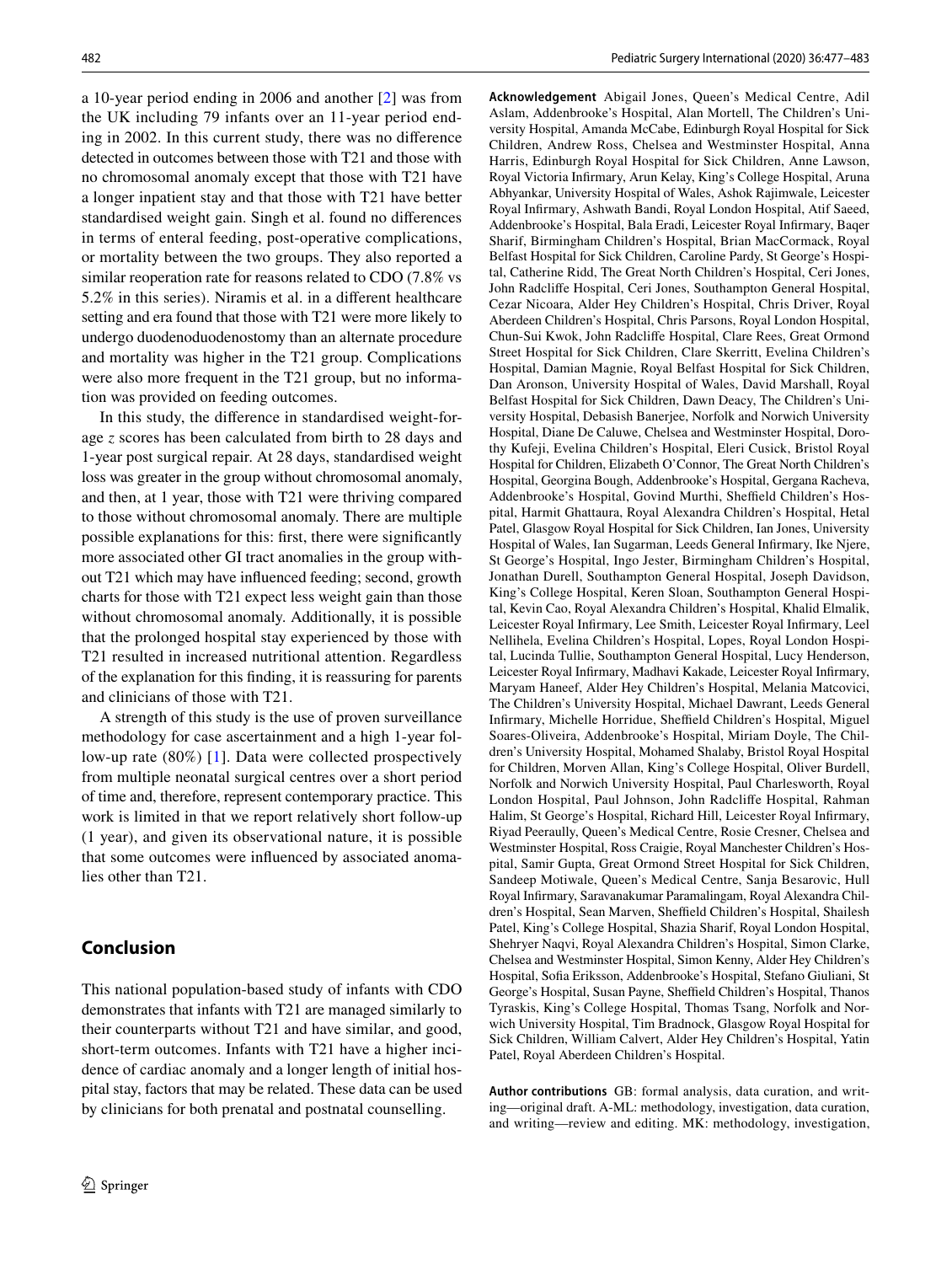a 10-year period ending in 2006 and another [[2\]](#page-6-1) was from the UK including 79 infants over an 11-year period ending in 2002. In this current study, there was no diference detected in outcomes between those with T21 and those with no chromosomal anomaly except that those with T21 have a longer inpatient stay and that those with T21 have better standardised weight gain. Singh et al. found no diferences in terms of enteral feeding, post-operative complications, or mortality between the two groups. They also reported a similar reoperation rate for reasons related to CDO (7.8% vs 5.2% in this series). Niramis et al. in a diferent healthcare setting and era found that those with T21 were more likely to undergo duodenoduodenostomy than an alternate procedure and mortality was higher in the T21 group. Complications were also more frequent in the T21 group, but no information was provided on feeding outcomes.

In this study, the diference in standardised weight-forage *z* scores has been calculated from birth to 28 days and 1-year post surgical repair. At 28 days, standardised weight loss was greater in the group without chromosomal anomaly, and then, at 1 year, those with T21 were thriving compared to those without chromosomal anomaly. There are multiple possible explanations for this: frst, there were signifcantly more associated other GI tract anomalies in the group without T21 which may have infuenced feeding; second, growth charts for those with T21 expect less weight gain than those without chromosomal anomaly. Additionally, it is possible that the prolonged hospital stay experienced by those with T21 resulted in increased nutritional attention. Regardless of the explanation for this fnding, it is reassuring for parents and clinicians of those with T21.

A strength of this study is the use of proven surveillance methodology for case ascertainment and a high 1-year follow-up rate (80%) [\[1](#page-6-0)]. Data were collected prospectively from multiple neonatal surgical centres over a short period of time and, therefore, represent contemporary practice. This work is limited in that we report relatively short follow-up (1 year), and given its observational nature, it is possible that some outcomes were infuenced by associated anomalies other than T21.

# **Conclusion**

This national population-based study of infants with CDO demonstrates that infants with T21 are managed similarly to their counterparts without T21 and have similar, and good, short-term outcomes. Infants with T21 have a higher incidence of cardiac anomaly and a longer length of initial hospital stay, factors that may be related. These data can be used by clinicians for both prenatal and postnatal counselling.

**Acknowledgement** Abigail Jones, Queen's Medical Centre, Adil Aslam, Addenbrooke's Hospital, Alan Mortell, The Children's University Hospital, Amanda McCabe, Edinburgh Royal Hospital for Sick Children, Andrew Ross, Chelsea and Westminster Hospital, Anna Harris, Edinburgh Royal Hospital for Sick Children, Anne Lawson, Royal Victoria Infrmary, Arun Kelay, King's College Hospital, Aruna Abhyankar, University Hospital of Wales, Ashok Rajimwale, Leicester Royal Infrmary, Ashwath Bandi, Royal London Hospital, Atif Saeed, Addenbrooke's Hospital, Bala Eradi, Leicester Royal Infrmary, Baqer Sharif, Birmingham Children's Hospital, Brian MacCormack, Royal Belfast Hospital for Sick Children, Caroline Pardy, St George's Hospital, Catherine Ridd, The Great North Children's Hospital, Ceri Jones, John Radclife Hospital, Ceri Jones, Southampton General Hospital, Cezar Nicoara, Alder Hey Children's Hospital, Chris Driver, Royal Aberdeen Children's Hospital, Chris Parsons, Royal London Hospital, Chun-Sui Kwok, John Radclife Hospital, Clare Rees, Great Ormond Street Hospital for Sick Children, Clare Skerritt, Evelina Children's Hospital, Damian Magnie, Royal Belfast Hospital for Sick Children, Dan Aronson, University Hospital of Wales, David Marshall, Royal Belfast Hospital for Sick Children, Dawn Deacy, The Children's University Hospital, Debasish Banerjee, Norfolk and Norwich University Hospital, Diane De Caluwe, Chelsea and Westminster Hospital, Dorothy Kufeji, Evelina Children's Hospital, Eleri Cusick, Bristol Royal Hospital for Children, Elizabeth O'Connor, The Great North Children's Hospital, Georgina Bough, Addenbrooke's Hospital, Gergana Racheva, Addenbrooke's Hospital, Govind Murthi, Sheffield Children's Hospital, Harmit Ghattaura, Royal Alexandra Children's Hospital, Hetal Patel, Glasgow Royal Hospital for Sick Children, Ian Jones, University Hospital of Wales, Ian Sugarman, Leeds General Infrmary, Ike Njere, St George's Hospital, Ingo Jester, Birmingham Children's Hospital, Jonathan Durell, Southampton General Hospital, Joseph Davidson, King's College Hospital, Keren Sloan, Southampton General Hospital, Kevin Cao, Royal Alexandra Children's Hospital, Khalid Elmalik, Leicester Royal Infrmary, Lee Smith, Leicester Royal Infrmary, Leel Nellihela, Evelina Children's Hospital, Lopes, Royal London Hospital, Lucinda Tullie, Southampton General Hospital, Lucy Henderson, Leicester Royal Infrmary, Madhavi Kakade, Leicester Royal Infrmary, Maryam Haneef, Alder Hey Children's Hospital, Melania Matcovici, The Children's University Hospital, Michael Dawrant, Leeds General Infirmary, Michelle Horridue, Sheffield Children's Hospital, Miguel Soares-Oliveira, Addenbrooke's Hospital, Miriam Doyle, The Children's University Hospital, Mohamed Shalaby, Bristol Royal Hospital for Children, Morven Allan, King's College Hospital, Oliver Burdell, Norfolk and Norwich University Hospital, Paul Charlesworth, Royal London Hospital, Paul Johnson, John Radclife Hospital, Rahman Halim, St George's Hospital, Richard Hill, Leicester Royal Infrmary, Riyad Peeraully, Queen's Medical Centre, Rosie Cresner, Chelsea and Westminster Hospital, Ross Craigie, Royal Manchester Children's Hospital, Samir Gupta, Great Ormond Street Hospital for Sick Children, Sandeep Motiwale, Queen's Medical Centre, Sanja Besarovic, Hull Royal Infrmary, Saravanakumar Paramalingam, Royal Alexandra Children's Hospital, Sean Marven, Sheffield Children's Hospital, Shailesh Patel, King's College Hospital, Shazia Sharif, Royal London Hospital, Shehryer Naqvi, Royal Alexandra Children's Hospital, Simon Clarke, Chelsea and Westminster Hospital, Simon Kenny, Alder Hey Children's Hospital, Sofa Eriksson, Addenbrooke's Hospital, Stefano Giuliani, St George's Hospital, Susan Payne, Sheffield Children's Hospital, Thanos Tyraskis, King's College Hospital, Thomas Tsang, Norfolk and Norwich University Hospital, Tim Bradnock, Glasgow Royal Hospital for Sick Children, William Calvert, Alder Hey Children's Hospital, Yatin Patel, Royal Aberdeen Children's Hospital.

**Author contributions** GB: formal analysis, data curation, and writing—original draft. A-ML: methodology, investigation, data curation, and writing—review and editing. MK: methodology, investigation,